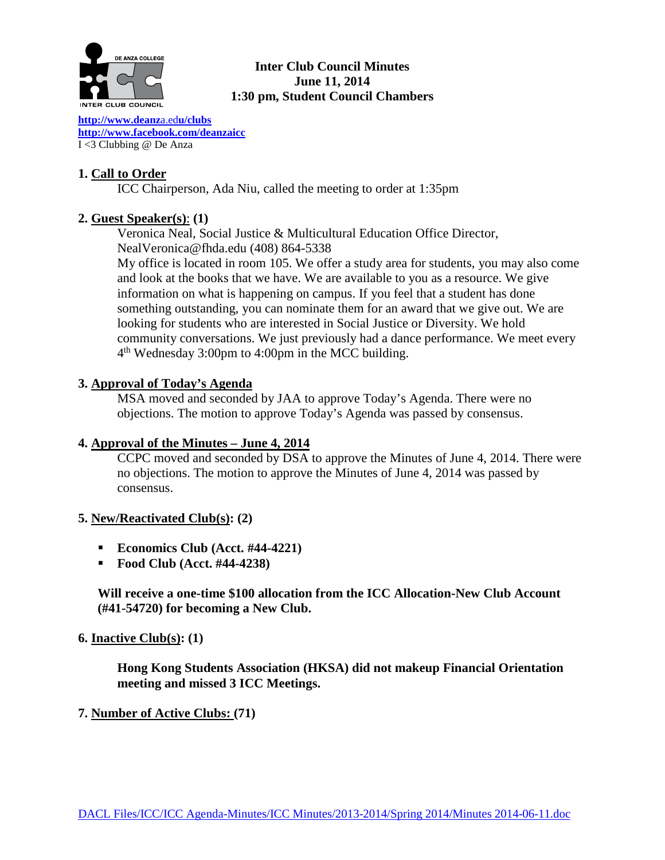

# **Inter Club Council Minutes June 11, 2014 1:30 pm, Student Council Chambers**

**[http://www.deanz](http://www.deanza.edu/clubs)**a.ed**u/clubs [http://www.facebook.com/deanzaicc](http://www.facebook.com/home.php#!/group.php?gid=59034552686)** I <3 Clubbing @ De Anza

# **1. Call to Order**

ICC Chairperson, Ada Niu, called the meeting to order at 1:35pm

# **2. Guest Speaker(s)**: **(1)**

Veronica Neal, Social Justice & Multicultural Education Office Director, NealVeronica@fhda.edu (408) 864-5338

My office is located in room 105. We offer a study area for students, you may also come and look at the books that we have. We are available to you as a resource. We give information on what is happening on campus. If you feel that a student has done something outstanding, you can nominate them for an award that we give out. We are looking for students who are interested in Social Justice or Diversity. We hold community conversations. We just previously had a dance performance. We meet every 4th Wednesday 3:00pm to 4:00pm in the MCC building.

## **3. Approval of Today's Agenda**

MSA moved and seconded by JAA to approve Today's Agenda. There were no objections. The motion to approve Today's Agenda was passed by consensus.

# **4. Approval of the Minutes – June 4, 2014**

CCPC moved and seconded by DSA to approve the Minutes of June 4, 2014. There were no objections. The motion to approve the Minutes of June 4, 2014 was passed by consensus.

### **5. New/Reactivated Club(s): (2)**

- **Economics Club (Acct. #44-4221)**
- **Food Club (Acct. #44-4238)**

**Will receive a one-time \$100 allocation from the ICC Allocation-New Club Account (#41-54720) for becoming a New Club.**

### **6. Inactive Club(s): (1)**

**Hong Kong Students Association (HKSA) did not makeup Financial Orientation meeting and missed 3 ICC Meetings.**

### **7. Number of Active Clubs: (71)**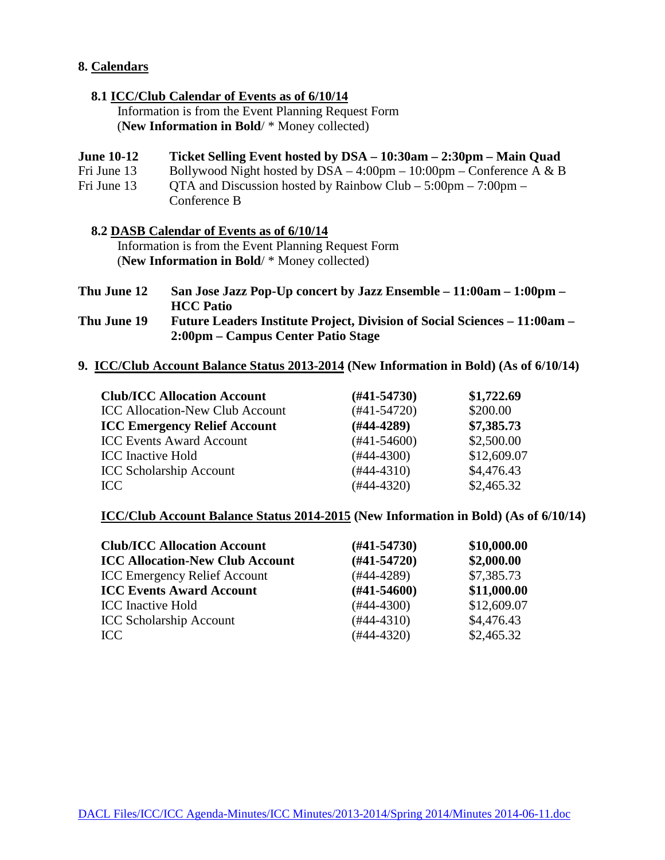### **8. Calendars**

### **8.1 ICC/Club Calendar of Events as of 6/10/14**

 Information is from the Event Planning Request Form (**New Information in Bold**/ \* Money collected)

### **June 10-12 Ticket Selling Event hosted by DSA – 10:30am – 2:30pm – Main Quad**

Fri June 13 Bollywood Night hosted by  $DSA - 4:00 \text{pm} - 10:00 \text{pm} - \text{Conference A} \& B$ 

Fri June 13 QTA and Discussion hosted by Rainbow Club –  $5:00 \text{pm}$  –  $7:00 \text{pm}$  – Conference B

#### **8.2 DASB Calendar of Events as of 6/10/14**

 Information is from the Event Planning Request Form (**New Information in Bold**/ \* Money collected)

| Thu June 12 | San Jose Jazz Pop-Up concert by Jazz Ensemble $-11:00$ am $-1:00$ pm $-$  |
|-------------|---------------------------------------------------------------------------|
|             | <b>HCC</b> Patio                                                          |
| Thu June 19 | Future Leaders Institute Project, Division of Social Sciences – 11:00am – |

**2:00pm – Campus Center Patio Stage**

**9. ICC/Club Account Balance Status 2013-2014 (New Information in Bold) (As of 6/10/14)**

| <b>Club/ICC Allocation Account</b>     |  | $(\#41 - 54730)$ | \$1,722.69  |  |
|----------------------------------------|--|------------------|-------------|--|
| <b>ICC Allocation-New Club Account</b> |  | $(#41-54720)$    | \$200.00    |  |
| <b>ICC Emergency Relief Account</b>    |  | $(H44-4289)$     | \$7,385.73  |  |
| <b>ICC Events Award Account</b>        |  | $(#41-54600)$    | \$2,500.00  |  |
| <b>ICC</b> Inactive Hold               |  | $(#44-4300)$     | \$12,609.07 |  |
| <b>ICC Scholarship Account</b>         |  | $(#44-4310)$     | \$4,476.43  |  |
| ICC.                                   |  | $(#44-4320)$     | \$2,465.32  |  |
|                                        |  |                  |             |  |

## **ICC/Club Account Balance Status 2014-2015 (New Information in Bold) (As of 6/10/14)**

| <b>Club/ICC Allocation Account</b>     | $(\#41 - 54730)$ | \$10,000.00 |
|----------------------------------------|------------------|-------------|
| <b>ICC Allocation-New Club Account</b> | $(H41-54720)$    | \$2,000.00  |
| <b>ICC Emergency Relief Account</b>    | $(#44-4289)$     | \$7,385.73  |
| <b>ICC Events Award Account</b>        | $(\#41 - 54600)$ | \$11,000.00 |
| <b>ICC</b> Inactive Hold               | $(#44-4300)$     | \$12,609.07 |
| <b>ICC Scholarship Account</b>         | $(#44-4310)$     | \$4,476.43  |
| ICC.                                   | $(#44-4320)$     | \$2,465.32  |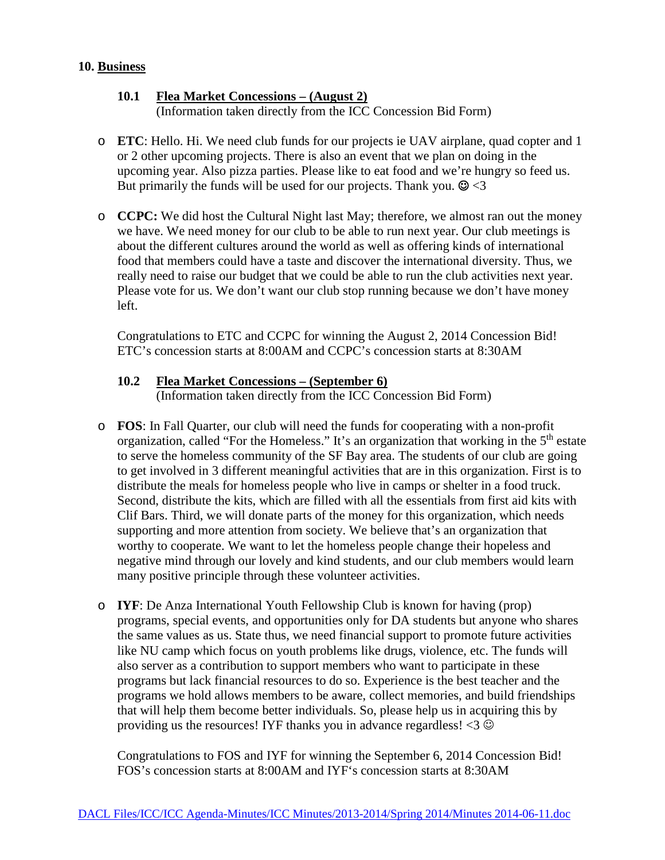### **10. Business**

### **10.1 Flea Market Concessions – (August 2)** (Information taken directly from the ICC Concession Bid Form)

- o **ETC**: Hello. Hi. We need club funds for our projects ie UAV airplane, quad copter and 1 or 2 other upcoming projects. There is also an event that we plan on doing in the upcoming year. Also pizza parties. Please like to eat food and we're hungry so feed us. But primarily the funds will be used for our projects. Thank you.  $\mathcal{Q}$  < 3
- o **CCPC:** We did host the Cultural Night last May; therefore, we almost ran out the money we have. We need money for our club to be able to run next year. Our club meetings is about the different cultures around the world as well as offering kinds of international food that members could have a taste and discover the international diversity. Thus, we really need to raise our budget that we could be able to run the club activities next year. Please vote for us. We don't want our club stop running because we don't have money left.

Congratulations to ETC and CCPC for winning the August 2, 2014 Concession Bid! ETC's concession starts at 8:00AM and CCPC's concession starts at 8:30AM

#### **10.2 Flea Market Concessions – (September 6)** (Information taken directly from the ICC Concession Bid Form)

- o **FOS**: In Fall Quarter, our club will need the funds for cooperating with a non-profit organization, called "For the Homeless." It's an organization that working in the 5<sup>th</sup> estate to serve the homeless community of the SF Bay area. The students of our club are going to get involved in 3 different meaningful activities that are in this organization. First is to distribute the meals for homeless people who live in camps or shelter in a food truck. Second, distribute the kits, which are filled with all the essentials from first aid kits with Clif Bars. Third, we will donate parts of the money for this organization, which needs supporting and more attention from society. We believe that's an organization that worthy to cooperate. We want to let the homeless people change their hopeless and negative mind through our lovely and kind students, and our club members would learn many positive principle through these volunteer activities.
- o **IYF**: De Anza International Youth Fellowship Club is known for having (prop) programs, special events, and opportunities only for DA students but anyone who shares the same values as us. State thus, we need financial support to promote future activities like NU camp which focus on youth problems like drugs, violence, etc. The funds will also server as a contribution to support members who want to participate in these programs but lack financial resources to do so. Experience is the best teacher and the programs we hold allows members to be aware, collect memories, and build friendships that will help them become better individuals. So, please help us in acquiring this by providing us the resources! IYF thanks you in advance regardless!  $\langle 3 \circ \hat{\mathcal{Q}} \rangle$

Congratulations to FOS and IYF for winning the September 6, 2014 Concession Bid! FOS's concession starts at 8:00AM and IYF's concession starts at 8:30AM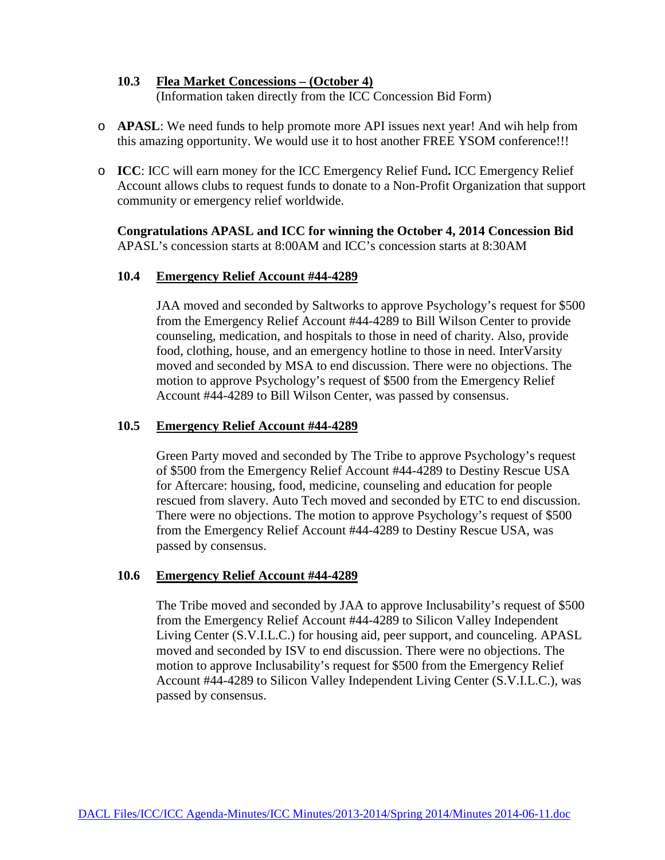#### **10.3 Flea Market Concessions – (October 4)** (Information taken directly from the ICC Concession Bid Form)

- o **APASL**: We need funds to help promote more API issues next year! And wih help from this amazing opportunity. We would use it to host another FREE YSOM conference!!!
- o **ICC**: ICC will earn money for the ICC Emergency Relief Fund**.** ICC Emergency Relief Account allows clubs to request funds to donate to a Non-Profit Organization that support community or emergency relief worldwide.

**Congratulations APASL and ICC for winning the October 4, 2014 Concession Bid** APASL's concession starts at 8:00AM and ICC's concession starts at 8:30AM

## **10.4 Emergency Relief Account #44-4289**

JAA moved and seconded by Saltworks to approve Psychology's request for \$500 from the Emergency Relief Account #44-4289 to Bill Wilson Center to provide counseling, medication, and hospitals to those in need of charity. Also, provide food, clothing, house, and an emergency hotline to those in need. InterVarsity moved and seconded by MSA to end discussion. There were no objections. The motion to approve Psychology's request of \$500 from the Emergency Relief Account #44-4289 to Bill Wilson Center, was passed by consensus.

# **10.5 Emergency Relief Account #44-4289**

Green Party moved and seconded by The Tribe to approve Psychology's request of \$500 from the Emergency Relief Account #44-4289 to Destiny Rescue USA for Aftercare: housing, food, medicine, counseling and education for people rescued from slavery. Auto Tech moved and seconded by ETC to end discussion. There were no objections. The motion to approve Psychology's request of \$500 from the Emergency Relief Account #44-4289 to Destiny Rescue USA, was passed by consensus.

### **10.6 Emergency Relief Account #44-4289**

The Tribe moved and seconded by JAA to approve Inclusability's request of \$500 from the Emergency Relief Account #44-4289 to Silicon Valley Independent Living Center (S.V.I.L.C.) for housing aid, peer support, and counceling. APASL moved and seconded by ISV to end discussion. There were no objections. The motion to approve Inclusability's request for \$500 from the Emergency Relief Account #44-4289 to Silicon Valley Independent Living Center (S.V.I.L.C.), was passed by consensus.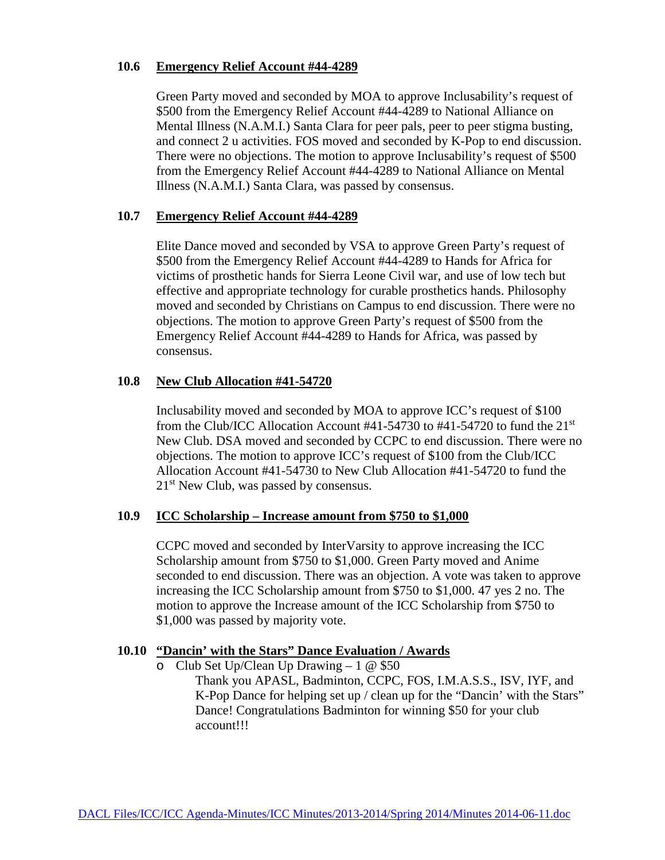#### **10.6 Emergency Relief Account #44-4289**

Green Party moved and seconded by MOA to approve Inclusability's request of \$500 from the Emergency Relief Account #44-4289 to National Alliance on Mental Illness (N.A.M.I.) Santa Clara for peer pals, peer to peer stigma busting, and connect 2 u activities. FOS moved and seconded by K-Pop to end discussion. There were no objections. The motion to approve Inclusability's request of \$500 from the Emergency Relief Account #44-4289 to National Alliance on Mental Illness (N.A.M.I.) Santa Clara, was passed by consensus.

# **10.7 Emergency Relief Account #44-4289**

Elite Dance moved and seconded by VSA to approve Green Party's request of \$500 from the Emergency Relief Account #44-4289 to Hands for Africa for victims of prosthetic hands for Sierra Leone Civil war, and use of low tech but effective and appropriate technology for curable prosthetics hands. Philosophy moved and seconded by Christians on Campus to end discussion. There were no objections. The motion to approve Green Party's request of \$500 from the Emergency Relief Account #44-4289 to Hands for Africa, was passed by consensus.

#### **10.8 New Club Allocation #41-54720**

Inclusability moved and seconded by MOA to approve ICC's request of \$100 from the Club/ICC Allocation Account #41-54730 to #41-54720 to fund the 21st New Club. DSA moved and seconded by CCPC to end discussion. There were no objections. The motion to approve ICC's request of \$100 from the Club/ICC Allocation Account #41-54730 to New Club Allocation #41-54720 to fund the 21<sup>st</sup> New Club, was passed by consensus.

#### **10.9 ICC Scholarship – Increase amount from \$750 to \$1,000**

CCPC moved and seconded by InterVarsity to approve increasing the ICC Scholarship amount from \$750 to \$1,000. Green Party moved and Anime seconded to end discussion. There was an objection. A vote was taken to approve increasing the ICC Scholarship amount from \$750 to \$1,000. 47 yes 2 no. The motion to approve the Increase amount of the ICC Scholarship from \$750 to \$1,000 was passed by majority vote.

### **10.10 "Dancin' with the Stars" Dance Evaluation / Awards**

o Club Set Up/Clean Up Drawing  $-1 \& 150$ 

Thank you APASL, Badminton, CCPC, FOS, I.M.A.S.S., ISV, IYF, and K-Pop Dance for helping set up / clean up for the "Dancin' with the Stars" Dance! Congratulations Badminton for winning \$50 for your club account!!!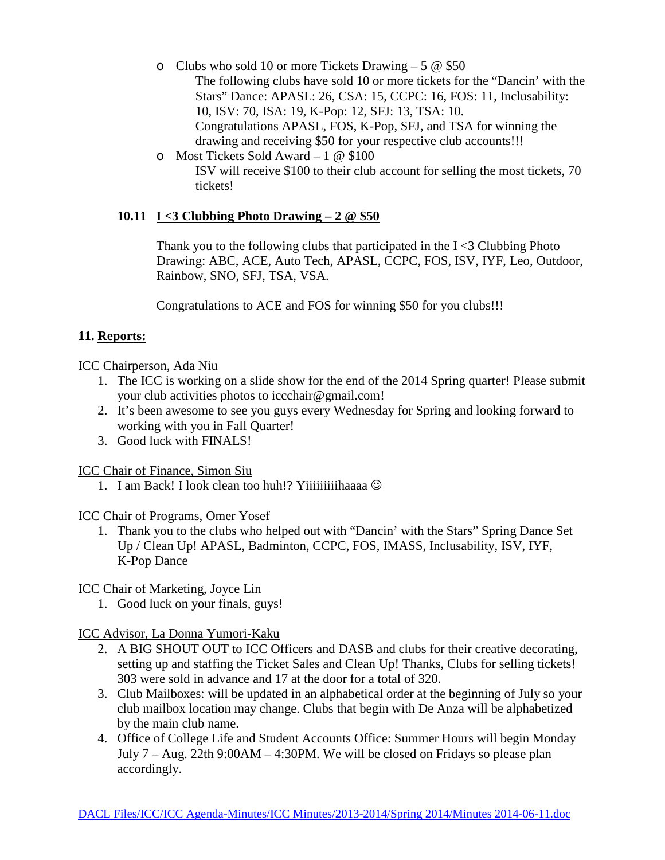- o Clubs who sold 10 or more Tickets Drawing 5  $\omega$  \$50 The following clubs have sold 10 or more tickets for the "Dancin' with the Stars" Dance: APASL: 26, CSA: 15, CCPC: 16, FOS: 11, Inclusability: 10, ISV: 70, ISA: 19, K-Pop: 12, SFJ: 13, TSA: 10. Congratulations APASL, FOS, K-Pop, SFJ, and TSA for winning the drawing and receiving \$50 for your respective club accounts!!!
- o Most Tickets Sold Award 1 @ \$100 ISV will receive \$100 to their club account for selling the most tickets, 70 tickets!

# **10.11 I <3 Clubbing Photo Drawing – 2 @ \$50**

Thank you to the following clubs that participated in the  $I < 3$  Clubbing Photo Drawing: ABC, ACE, Auto Tech, APASL, CCPC, FOS, ISV, IYF, Leo, Outdoor, Rainbow, SNO, SFJ, TSA, VSA.

Congratulations to ACE and FOS for winning \$50 for you clubs!!!

# **11. Reports:**

# ICC Chairperson, Ada Niu

- 1. The ICC is working on a slide show for the end of the 2014 Spring quarter! Please submit your club activities photos to [iccchair@gmail.com!](mailto:iccchair@gmail.com)
- 2. It's been awesome to see you guys every Wednesday for Spring and looking forward to working with you in Fall Quarter!
- 3. Good luck with FINALS!

# ICC Chair of Finance, Simon Siu

1. I am Back! I look clean too huh!? Yiiiiiiiiihaaaa  $\odot$ 

# ICC Chair of Programs, Omer Yosef

1. Thank you to the clubs who helped out with "Dancin' with the Stars" Spring Dance Set Up / Clean Up! APASL, Badminton, CCPC, FOS, IMASS, Inclusability, ISV, IYF, K-Pop Dance

# ICC Chair of Marketing, Joyce Lin

1. Good luck on your finals, guys!

# ICC Advisor, La Donna Yumori-Kaku

- 2. A BIG SHOUT OUT to ICC Officers and DASB and clubs for their creative decorating, setting up and staffing the Ticket Sales and Clean Up! Thanks, Clubs for selling tickets! 303 were sold in advance and 17 at the door for a total of 320.
- 3. Club Mailboxes: will be updated in an alphabetical order at the beginning of July so your club mailbox location may change. Clubs that begin with De Anza will be alphabetized by the main club name.
- 4. Office of College Life and Student Accounts Office: Summer Hours will begin Monday July 7 – Aug. 22th 9:00AM – 4:30PM. We will be closed on Fridays so please plan accordingly.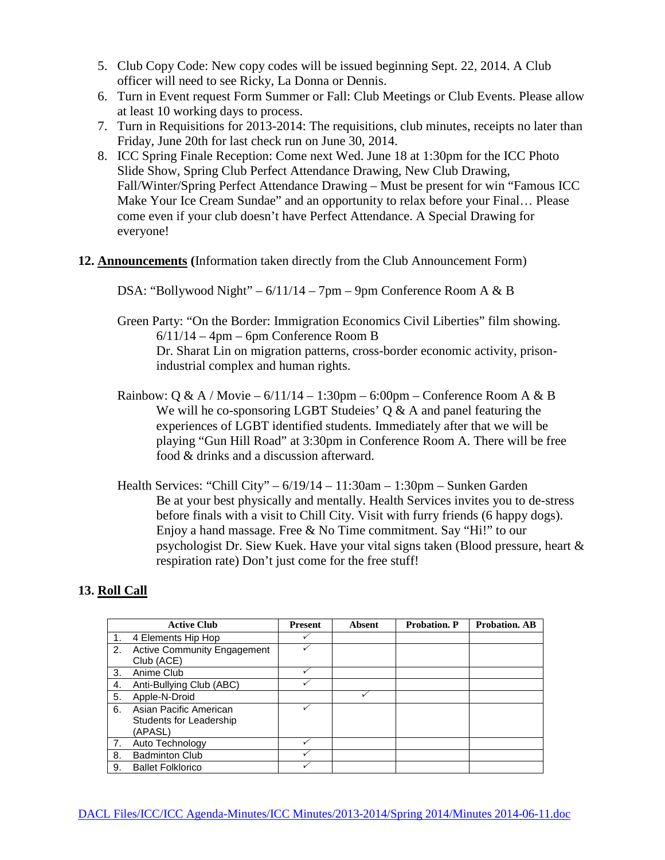- 5. Club Copy Code: New copy codes will be issued beginning Sept. 22, 2014. A Club officer will need to see Ricky, La Donna or Dennis.
- 6. Turn in Event request Form Summer or Fall: Club Meetings or Club Events. Please allow at least 10 working days to process.
- 7. Turn in Requisitions for 2013-2014: The requisitions, club minutes, receipts no later than Friday, June 20th for last check run on June 30, 2014.
- 8. ICC Spring Finale Reception: Come next Wed. June 18 at 1:30pm for the ICC Photo Slide Show, Spring Club Perfect Attendance Drawing, New Club Drawing, Fall/Winter/Spring Perfect Attendance Drawing – Must be present for win "Famous ICC Make Your Ice Cream Sundae" and an opportunity to relax before your Final… Please come even if your club doesn't have Perfect Attendance. A Special Drawing for everyone!
- **12. Announcements (**Information taken directly from the Club Announcement Form)

DSA: "Bollywood Night" – 6/11/14 – 7pm – 9pm Conference Room A & B

- Green Party: "On the Border: Immigration Economics Civil Liberties" film showing.  $6/11/14 - 4$ pm – 6pm Conference Room B Dr. Sharat Lin on migration patterns, cross-border economic activity, prisonindustrial complex and human rights.
- Rainbow: Q & A / Movie  $6/11/14 1:30$ pm  $6:00$ pm Conference Room A & B We will he co-sponsoring LGBT Studeies' Q & A and panel featuring the experiences of LGBT identified students. Immediately after that we will be playing "Gun Hill Road" at 3:30pm in Conference Room A. There will be free food & drinks and a discussion afterward.
- Health Services: "Chill City" 6/19/14 11:30am 1:30pm Sunken Garden Be at your best physically and mentally. Health Services invites you to de-stress before finals with a visit to Chill City. Visit with furry friends (6 happy dogs). Enjoy a hand massage. Free & No Time commitment. Say "Hi!" to our psychologist Dr. Siew Kuek. Have your vital signs taken (Blood pressure, heart & respiration rate) Don't just come for the free stuff!

# **13. Roll Call**

|    | <b>Active Club</b>                 | <b>Present</b> | <b>Absent</b> | <b>Probation. P</b> | <b>Probation. AB</b> |
|----|------------------------------------|----------------|---------------|---------------------|----------------------|
|    | 4 Elements Hip Hop                 |                |               |                     |                      |
| 2. | <b>Active Community Engagement</b> |                |               |                     |                      |
|    | Club (ACE)                         |                |               |                     |                      |
| 3. | Anime Club                         | ✓              |               |                     |                      |
| 4. | Anti-Bullying Club (ABC)           |                |               |                     |                      |
| 5. | Apple-N-Droid                      |                |               |                     |                      |
| 6. | Asian Pacific American             |                |               |                     |                      |
|    | <b>Students for Leadership</b>     |                |               |                     |                      |
|    | (APASL)                            |                |               |                     |                      |
| 7. | Auto Technology                    |                |               |                     |                      |
| 8. | <b>Badminton Club</b>              |                |               |                     |                      |
| 9. | <b>Ballet Folklorico</b>           |                |               |                     |                      |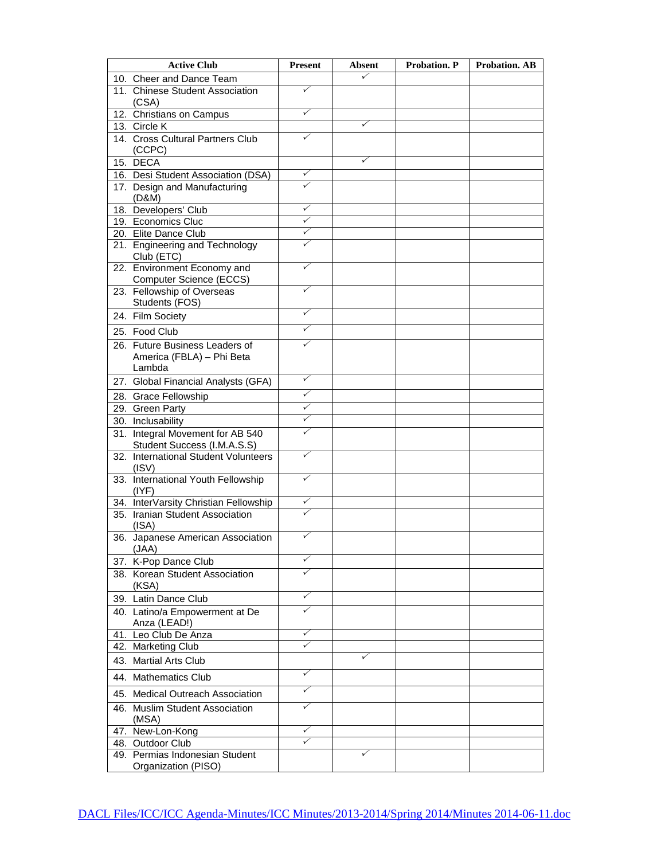| <b>Active Club</b>                                              | <b>Present</b> | <b>Absent</b> | Probation. P | <b>Probation. AB</b> |
|-----------------------------------------------------------------|----------------|---------------|--------------|----------------------|
| 10. Cheer and Dance Team                                        |                | $\checkmark$  |              |                      |
| 11. Chinese Student Association<br>(CSA)                        | ✓              |               |              |                      |
| 12. Christians on Campus                                        | ✓              |               |              |                      |
| 13. Circle K                                                    |                | ✓             |              |                      |
| 14. Cross Cultural Partners Club<br>(CCPC)                      | ✓              |               |              |                      |
| 15. DECA                                                        |                | ✓             |              |                      |
| 16. Desi Student Association (DSA)                              | ✓              |               |              |                      |
| 17. Design and Manufacturing<br>(D&M)                           | ✓              |               |              |                      |
| 18. Developers' Club                                            | ✓              |               |              |                      |
| 19. Economics Cluc                                              | ✓              |               |              |                      |
| 20. Elite Dance Club                                            | ✓              |               |              |                      |
| 21. Engineering and Technology<br>Club (ETC)                    | ✓              |               |              |                      |
| 22. Environment Economy and<br>Computer Science (ECCS)          | ✓              |               |              |                      |
| 23. Fellowship of Overseas<br>Students (FOS)                    | ✓              |               |              |                      |
| 24. Film Society                                                | ✓              |               |              |                      |
| 25. Food Club                                                   | ✓              |               |              |                      |
| 26. Future Business Leaders of                                  | ✓              |               |              |                      |
| America (FBLA) - Phi Beta<br>Lambda                             |                |               |              |                      |
| 27. Global Financial Analysts (GFA)                             | ✓              |               |              |                      |
| 28. Grace Fellowship                                            | ✓              |               |              |                      |
| 29. Green Party                                                 | ✓              |               |              |                      |
| 30. Inclusability                                               | ✓              |               |              |                      |
| 31. Integral Movement for AB 540<br>Student Success (I.M.A.S.S) | ✓              |               |              |                      |
| 32. International Student Volunteers<br>(ISV)                   | ✓              |               |              |                      |
| 33. International Youth Fellowship<br>(IVF)                     | ✓              |               |              |                      |
| 34. InterVarsity Christian Fellowship                           | ✓              |               |              |                      |
| 35. Iranian Student Association<br>(ISA)                        | ✓              |               |              |                      |
| 36. Japanese American Association<br>(JAA)                      | ✓              |               |              |                      |
| 37. K-Pop Dance Club                                            | ✓              |               |              |                      |
| 38. Korean Student Association<br>(KSA)                         | ✓              |               |              |                      |
| 39. Latin Dance Club                                            | ✓              |               |              |                      |
| 40. Latino/a Empowerment at De<br>Anza (LEAD!)                  | ✓              |               |              |                      |
| 41. Leo Club De Anza                                            | ✓              |               |              |                      |
| 42. Marketing Club                                              | ✓              |               |              |                      |
| 43. Martial Arts Club                                           |                | ✓             |              |                      |
| 44. Mathematics Club                                            | ✓              |               |              |                      |
| 45. Medical Outreach Association                                | ✓              |               |              |                      |
| 46. Muslim Student Association<br>(MSA)                         | ✓              |               |              |                      |
| 47. New-Lon-Kong                                                | ✓              |               |              |                      |
| 48. Outdoor Club                                                | ✓              |               |              |                      |
| 49. Permias Indonesian Student<br>Organization (PISO)           |                | ✓             |              |                      |